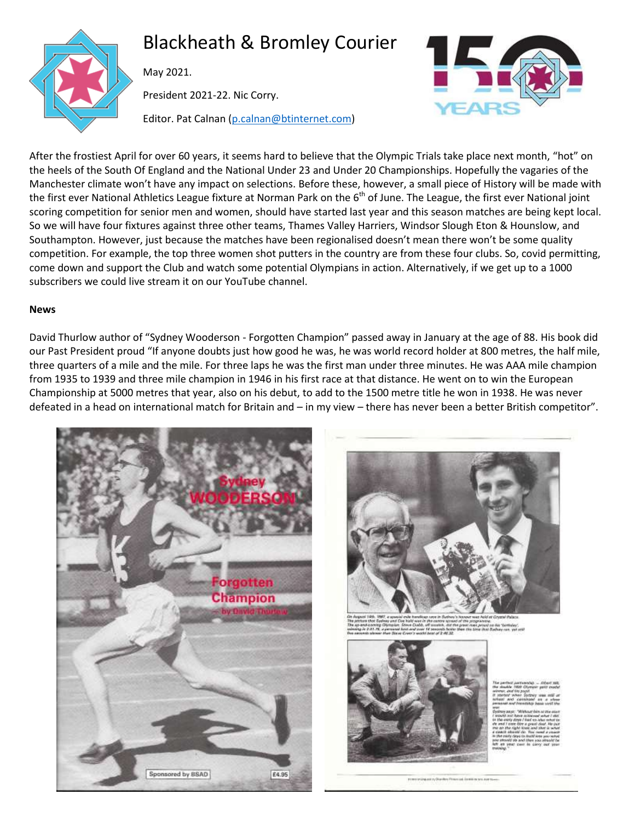

# Blackheath & Bromley Courier

May 2021.

President 2021-22. Nic Corry.

Editor. Pat Calnan [\(p.calnan@btinternet.com\)](mailto:p.calnan@btinternet.com)



After the frostiest April for over 60 years, it seems hard to believe that the Olympic Trials take place next month, "hot" on the heels of the South Of England and the National Under 23 and Under 20 Championships. Hopefully the vagaries of the Manchester climate won't have any impact on selections. Before these, however, a small piece of History will be made with the first ever National Athletics League fixture at Norman Park on the 6<sup>th</sup> of June. The League, the first ever National joint scoring competition for senior men and women, should have started last year and this season matches are being kept local. So we will have four fixtures against three other teams, Thames Valley Harriers, Windsor Slough Eton & Hounslow, and Southampton. However, just because the matches have been regionalised doesn't mean there won't be some quality competition. For example, the top three women shot putters in the country are from these four clubs. So, covid permitting, come down and support the Club and watch some potential Olympians in action. Alternatively, if we get up to a 1000 subscribers we could live stream it on our YouTube channel.

#### **News**

David Thurlow author of "Sydney Wooderson - Forgotten Champion" passed away in January at the age of 88. His book did our Past President proud "If anyone doubts just how good he was, he was world record holder at 800 metres, the half mile, three quarters of a mile and the mile. For three laps he was the first man under three minutes. He was AAA mile champion from 1935 to 1939 and three mile champion in 1946 in his first race at that distance. He went on to win the European Championship at 5000 metres that year, also on his debut, to add to the 1500 metre title he won in 1938. He was never defeated in a head on international match for Britain and – in my view – there has never been a better British competitor".





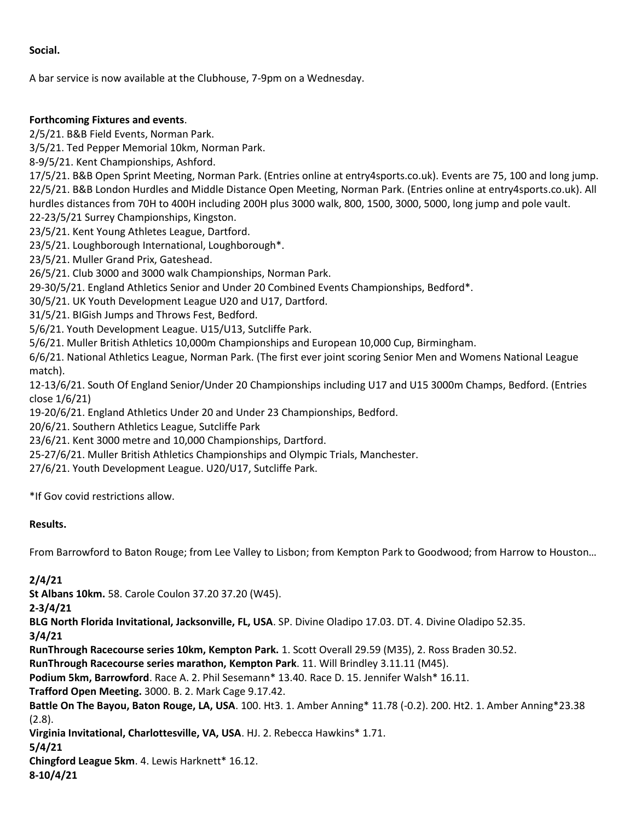## **Social.**

A bar service is now available at the Clubhouse, 7-9pm on a Wednesday.

## **Forthcoming Fixtures and events**.

2/5/21. B&B Field Events, Norman Park.

3/5/21. Ted Pepper Memorial 10km, Norman Park.

8-9/5/21. Kent Championships, Ashford.

17/5/21. B&B Open Sprint Meeting, Norman Park. (Entries online at entry4sports.co.uk). Events are 75, 100 and long jump. 22/5/21. B&B London Hurdles and Middle Distance Open Meeting, Norman Park. (Entries online at entry4sports.co.uk). All hurdles distances from 70H to 400H including 200H plus 3000 walk, 800, 1500, 3000, 5000, long jump and pole vault.

22-23/5/21 Surrey Championships, Kingston.

23/5/21. Kent Young Athletes League, Dartford.

23/5/21. Loughborough International, Loughborough\*.

23/5/21. Muller Grand Prix, Gateshead.

26/5/21. Club 3000 and 3000 walk Championships, Norman Park.

29-30/5/21. England Athletics Senior and Under 20 Combined Events Championships, Bedford\*.

30/5/21. UK Youth Development League U20 and U17, Dartford.

31/5/21. BIGish Jumps and Throws Fest, Bedford.

5/6/21. Youth Development League. U15/U13, Sutcliffe Park.

5/6/21. Muller British Athletics 10,000m Championships and European 10,000 Cup, Birmingham.

6/6/21. National Athletics League, Norman Park. (The first ever joint scoring Senior Men and Womens National League match).

12-13/6/21. South Of England Senior/Under 20 Championships including U17 and U15 3000m Champs, Bedford. (Entries close 1/6/21)

19-20/6/21. England Athletics Under 20 and Under 23 Championships, Bedford.

20/6/21. Southern Athletics League, Sutcliffe Park

23/6/21. Kent 3000 metre and 10,000 Championships, Dartford.

25-27/6/21. Muller British Athletics Championships and Olympic Trials, Manchester.

27/6/21. Youth Development League. U20/U17, Sutcliffe Park.

\*If Gov covid restrictions allow.

## **Results.**

From Barrowford to Baton Rouge; from Lee Valley to Lisbon; from Kempton Park to Goodwood; from Harrow to Houston…

## **2/4/21**

**St Albans 10km.** 58. Carole Coulon 37.20 37.20 (W45).

**2-3/4/21**

**BLG North Florida Invitational, Jacksonville, FL, USA**. SP. Divine Oladipo 17.03. DT. 4. Divine Oladipo 52.35.

**3/4/21**

**RunThrough Racecourse series 10km, Kempton Park.** 1. Scott Overall 29.59 (M35), 2. Ross Braden 30.52.

**RunThrough Racecourse series marathon, Kempton Park**. 11. Will Brindley 3.11.11 (M45).

**Podium 5km, Barrowford**. Race A. 2. Phil Sesemann\* 13.40. Race D. 15. Jennifer Walsh\* 16.11.

**Trafford Open Meeting.** 3000. B. 2. Mark Cage 9.17.42.

**Battle On The Bayou, Baton Rouge, LA, USA**. 100. Ht3. 1. Amber Anning\* 11.78 (-0.2). 200. Ht2. 1. Amber Anning\*23.38 (2.8).

**Virginia Invitational, Charlottesville, VA, USA**. HJ. 2. Rebecca Hawkins\* 1.71.

# **5/4/21**

**Chingford League 5km**. 4. Lewis Harknett\* 16.12.

**8-10/4/21**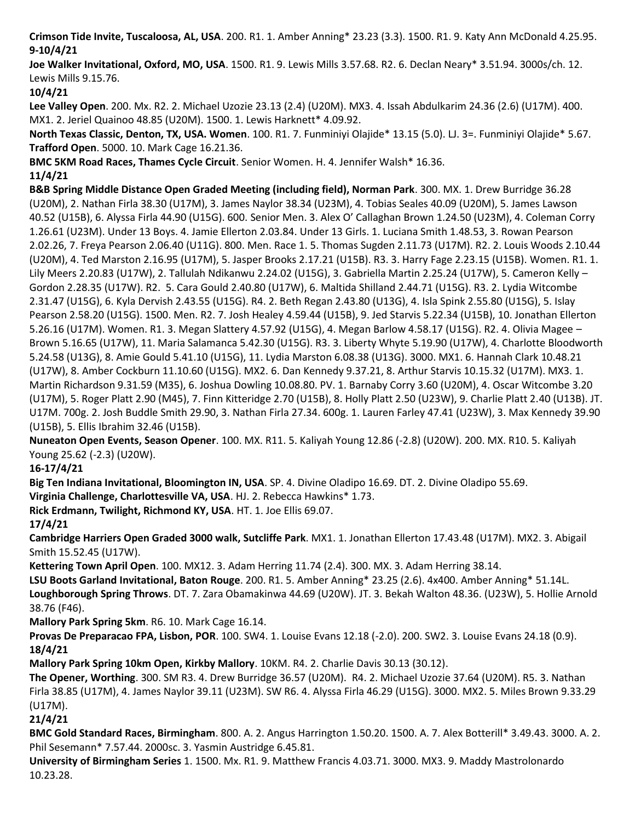**Crimson Tide Invite, Tuscaloosa, AL, USA**. 200. R1. 1. Amber Anning\* 23.23 (3.3). 1500. R1. 9. Katy Ann McDonald 4.25.95. **9-10/4/21**

**Joe Walker Invitational, Oxford, MO, USA**. 1500. R1. 9. Lewis Mills 3.57.68. R2. 6. Declan Neary\* 3.51.94. 3000s/ch. 12. Lewis Mills 9.15.76.

**10/4/21**

**Lee Valley Open**. 200. Mx. R2. 2. Michael Uzozie 23.13 (2.4) (U20M). MX3. 4. Issah Abdulkarim 24.36 (2.6) (U17M). 400. MX1. 2. Jeriel Quainoo 48.85 (U20M). 1500. 1. Lewis Harknett\* 4.09.92.

**North Texas Classic, Denton, TX, USA. Women**. 100. R1. 7. Funminiyi Olajide\* 13.15 (5.0). LJ. 3=. Funminiyi Olajide\* 5.67. **Trafford Open**. 5000. 10. Mark Cage 16.21.36.

**BMC 5KM Road Races, Thames Cycle Circuit**. Senior Women. H. 4. Jennifer Walsh\* 16.36. **11/4/21**

**B&B Spring Middle Distance Open Graded Meeting (including field), Norman Park**. 300. MX. 1. Drew Burridge 36.28 (U20M), 2. Nathan Firla 38.30 (U17M), 3. James Naylor 38.34 (U23M), 4. Tobias Seales 40.09 (U20M), 5. James Lawson 40.52 (U15B), 6. Alyssa Firla 44.90 (U15G). 600. Senior Men. 3. Alex O' Callaghan Brown 1.24.50 (U23M), 4. Coleman Corry 1.26.61 (U23M). Under 13 Boys. 4. Jamie Ellerton 2.03.84. Under 13 Girls. 1. Luciana Smith 1.48.53, 3. Rowan Pearson 2.02.26, 7. Freya Pearson 2.06.40 (U11G). 800. Men. Race 1. 5. Thomas Sugden 2.11.73 (U17M). R2. 2. Louis Woods 2.10.44 (U20M), 4. Ted Marston 2.16.95 (U17M), 5. Jasper Brooks 2.17.21 (U15B). R3. 3. Harry Fage 2.23.15 (U15B). Women. R1. 1. Lily Meers 2.20.83 (U17W), 2. Tallulah Ndikanwu 2.24.02 (U15G), 3. Gabriella Martin 2.25.24 (U17W), 5. Cameron Kelly – Gordon 2.28.35 (U17W). R2. 5. Cara Gould 2.40.80 (U17W), 6. Maltida Shilland 2.44.71 (U15G). R3. 2. Lydia Witcombe 2.31.47 (U15G), 6. Kyla Dervish 2.43.55 (U15G). R4. 2. Beth Regan 2.43.80 (U13G), 4. Isla Spink 2.55.80 (U15G), 5. Islay Pearson 2.58.20 (U15G). 1500. Men. R2. 7. Josh Healey 4.59.44 (U15B), 9. Jed Starvis 5.22.34 (U15B), 10. Jonathan Ellerton 5.26.16 (U17M). Women. R1. 3. Megan Slattery 4.57.92 (U15G), 4. Megan Barlow 4.58.17 (U15G). R2. 4. Olivia Magee – Brown 5.16.65 (U17W), 11. Maria Salamanca 5.42.30 (U15G). R3. 3. Liberty Whyte 5.19.90 (U17W), 4. Charlotte Bloodworth 5.24.58 (U13G), 8. Amie Gould 5.41.10 (U15G), 11. Lydia Marston 6.08.38 (U13G). 3000. MX1. 6. Hannah Clark 10.48.21 (U17W), 8. Amber Cockburn 11.10.60 (U15G). MX2. 6. Dan Kennedy 9.37.21, 8. Arthur Starvis 10.15.32 (U17M). MX3. 1. Martin Richardson 9.31.59 (M35), 6. Joshua Dowling 10.08.80. PV. 1. Barnaby Corry 3.60 (U20M), 4. Oscar Witcombe 3.20 (U17M), 5. Roger Platt 2.90 (M45), 7. Finn Kitteridge 2.70 (U15B), 8. Holly Platt 2.50 (U23W), 9. Charlie Platt 2.40 (U13B). JT. U17M. 700g. 2. Josh Buddle Smith 29.90, 3. Nathan Firla 27.34. 600g. 1. Lauren Farley 47.41 (U23W), 3. Max Kennedy 39.90 (U15B), 5. Ellis Ibrahim 32.46 (U15B).

**Nuneaton Open Events, Season Opener**. 100. MX. R11. 5. Kaliyah Young 12.86 (-2.8) (U20W). 200. MX. R10. 5. Kaliyah Young 25.62 (-2.3) (U20W).

**16-17/4/21**

**Big Ten Indiana Invitational, Bloomington IN, USA**. SP. 4. Divine Oladipo 16.69. DT. 2. Divine Oladipo 55.69.

**Virginia Challenge, Charlottesville VA, USA**. HJ. 2. Rebecca Hawkins\* 1.73.

**Rick Erdmann, Twilight, Richmond KY, USA**. HT. 1. Joe Ellis 69.07.

**17/4/21**

**Cambridge Harriers Open Graded 3000 walk, Sutcliffe Park**. MX1. 1. Jonathan Ellerton 17.43.48 (U17M). MX2. 3. Abigail Smith 15.52.45 (U17W).

**Kettering Town April Open**. 100. MX12. 3. Adam Herring 11.74 (2.4). 300. MX. 3. Adam Herring 38.14.

**LSU Boots Garland Invitational, Baton Rouge**. 200. R1. 5. Amber Anning\* 23.25 (2.6). 4x400. Amber Anning\* 51.14L. **Loughborough Spring Throws**. DT. 7. Zara Obamakinwa 44.69 (U20W). JT. 3. Bekah Walton 48.36. (U23W), 5. Hollie Arnold 38.76 (F46).

**Mallory Park Spring 5km**. R6. 10. Mark Cage 16.14.

**Provas De Preparacao FPA, Lisbon, POR**. 100. SW4. 1. Louise Evans 12.18 (-2.0). 200. SW2. 3. Louise Evans 24.18 (0.9). **18/4/21**

**Mallory Park Spring 10km Open, Kirkby Mallory**. 10KM. R4. 2. Charlie Davis 30.13 (30.12).

**The Opener, Worthing**. 300. SM R3. 4. Drew Burridge 36.57 (U20M). R4. 2. Michael Uzozie 37.64 (U20M). R5. 3. Nathan Firla 38.85 (U17M), 4. James Naylor 39.11 (U23M). SW R6. 4. Alyssa Firla 46.29 (U15G). 3000. MX2. 5. Miles Brown 9.33.29 (U17M).

# **21/4/21**

**BMC Gold Standard Races, Birmingham**. 800. A. 2. Angus Harrington 1.50.20. 1500. A. 7. Alex Botterill\* 3.49.43. 3000. A. 2. Phil Sesemann\* 7.57.44. 2000sc. 3. Yasmin Austridge 6.45.81.

**University of Birmingham Series** 1. 1500. Mx. R1. 9. Matthew Francis 4.03.71. 3000. MX3. 9. Maddy Mastrolonardo 10.23.28.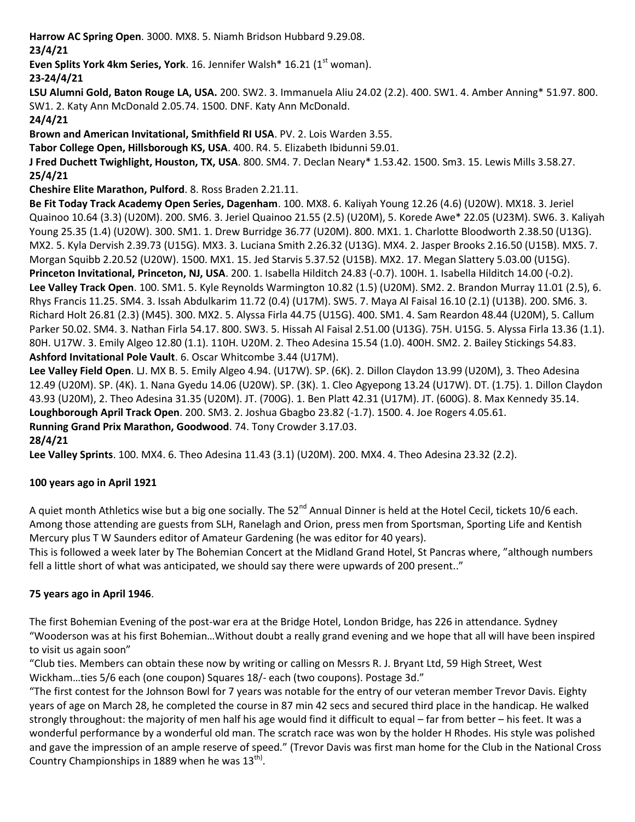**Harrow AC Spring Open**. 3000. MX8. 5. Niamh Bridson Hubbard 9.29.08. **23/4/21 Even Splits York 4km Series, York**. 16. Jennifer Walsh\* 16.21 (1<sup>st</sup> woman). **23-24/4/21 LSU Alumni Gold, Baton Rouge LA, USA.** 200. SW2. 3. Immanuela Aliu 24.02 (2.2). 400. SW1. 4. Amber Anning\* 51.97. 800. SW1. 2. Katy Ann McDonald 2.05.74. 1500. DNF. Katy Ann McDonald. **24/4/21 Brown and American Invitational, Smithfield RI USA**. PV. 2. Lois Warden 3.55. **Tabor College Open, Hillsborough KS, USA**. 400. R4. 5. Elizabeth Ibidunni 59.01. **J Fred Duchett Twighlight, Houston, TX, USA**. 800. SM4. 7. Declan Neary\* 1.53.42. 1500. Sm3. 15. Lewis Mills 3.58.27. **25/4/21 Cheshire Elite Marathon, Pulford**. 8. Ross Braden 2.21.11. **Be Fit Today Track Academy Open Series, Dagenham**. 100. MX8. 6. Kaliyah Young 12.26 (4.6) (U20W). MX18. 3. Jeriel Quainoo 10.64 (3.3) (U20M). 200. SM6. 3. Jeriel Quainoo 21.55 (2.5) (U20M), 5. Korede Awe\* 22.05 (U23M). SW6. 3. Kaliyah Young 25.35 (1.4) (U20W). 300. SM1. 1. Drew Burridge 36.77 (U20M). 800. MX1. 1. Charlotte Bloodworth 2.38.50 (U13G). MX2. 5. Kyla Dervish 2.39.73 (U15G). MX3. 3. Luciana Smith 2.26.32 (U13G). MX4. 2. Jasper Brooks 2.16.50 (U15B). MX5. 7. Morgan Squibb 2.20.52 (U20W). 1500. MX1. 15. Jed Starvis 5.37.52 (U15B). MX2. 17. Megan Slattery 5.03.00 (U15G). **Princeton Invitational, Princeton, NJ, USA**. 200. 1. Isabella Hilditch 24.83 (-0.7). 100H. 1. Isabella Hilditch 14.00 (-0.2). **Lee Valley Track Open**. 100. SM1. 5. Kyle Reynolds Warmington 10.82 (1.5) (U20M). SM2. 2. Brandon Murray 11.01 (2.5), 6. Rhys Francis 11.25. SM4. 3. Issah Abdulkarim 11.72 (0.4) (U17M). SW5. 7. Maya Al Faisal 16.10 (2.1) (U13B). 200. SM6. 3. Richard Holt 26.81 (2.3) (M45). 300. MX2. 5. Alyssa Firla 44.75 (U15G). 400. SM1. 4. Sam Reardon 48.44 (U20M), 5. Callum Parker 50.02. SM4. 3. Nathan Firla 54.17. 800. SW3. 5. Hissah Al Faisal 2.51.00 (U13G). 75H. U15G. 5. Alyssa Firla 13.36 (1.1). 80H. U17W. 3. Emily Algeo 12.80 (1.1). 110H. U20M. 2. Theo Adesina 15.54 (1.0). 400H. SM2. 2. Bailey Stickings 54.83. **Ashford Invitational Pole Vault**. 6. Oscar Whitcombe 3.44 (U17M).

**Lee Valley Field Open**. LJ. MX B. 5. Emily Algeo 4.94. (U17W). SP. (6K). 2. Dillon Claydon 13.99 (U20M), 3. Theo Adesina 12.49 (U20M). SP. (4K). 1. Nana Gyedu 14.06 (U20W). SP. (3K). 1. Cleo Agyepong 13.24 (U17W). DT. (1.75). 1. Dillon Claydon 43.93 (U20M), 2. Theo Adesina 31.35 (U20M). JT. (700G). 1. Ben Platt 42.31 (U17M). JT. (600G). 8. Max Kennedy 35.14. **Loughborough April Track Open**. 200. SM3. 2. Joshua Gbagbo 23.82 (-1.7). 1500. 4. Joe Rogers 4.05.61. **Running Grand Prix Marathon, Goodwood**. 74. Tony Crowder 3.17.03.

## **28/4/21**

**Lee Valley Sprints**. 100. MX4. 6. Theo Adesina 11.43 (3.1) (U20M). 200. MX4. 4. Theo Adesina 23.32 (2.2).

#### **100 years ago in April 1921**

A quiet month Athletics wise but a big one socially. The 52<sup>nd</sup> Annual Dinner is held at the Hotel Cecil, tickets 10/6 each. Among those attending are guests from SLH, Ranelagh and Orion, press men from Sportsman, Sporting Life and Kentish Mercury plus T W Saunders editor of Amateur Gardening (he was editor for 40 years).

This is followed a week later by The Bohemian Concert at the Midland Grand Hotel, St Pancras where, "although numbers fell a little short of what was anticipated, we should say there were upwards of 200 present.."

## **75 years ago in April 1946**.

The first Bohemian Evening of the post-war era at the Bridge Hotel, London Bridge, has 226 in attendance. Sydney "Wooderson was at his first Bohemian…Without doubt a really grand evening and we hope that all will have been inspired to visit us again soon"

"Club ties. Members can obtain these now by writing or calling on Messrs R. J. Bryant Ltd, 59 High Street, West Wickham…ties 5/6 each (one coupon) Squares 18/- each (two coupons). Postage 3d."

"The first contest for the Johnson Bowl for 7 years was notable for the entry of our veteran member Trevor Davis. Eighty years of age on March 28, he completed the course in 87 min 42 secs and secured third place in the handicap. He walked strongly throughout: the majority of men half his age would find it difficult to equal – far from better – his feet. It was a wonderful performance by a wonderful old man. The scratch race was won by the holder H Rhodes. His style was polished and gave the impression of an ample reserve of speed." (Trevor Davis was first man home for the Club in the National Cross Country Championships in 1889 when he was  $13^{\text{th}}$ .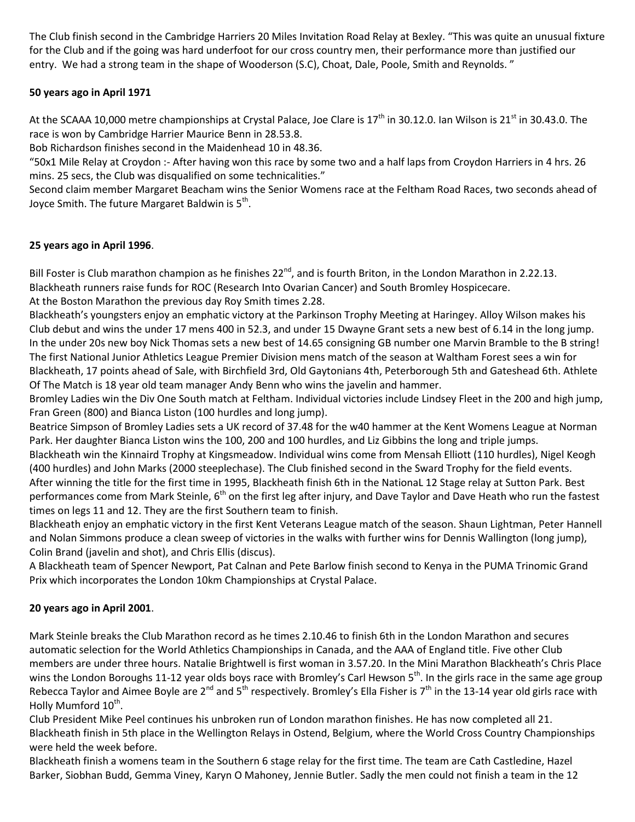The Club finish second in the Cambridge Harriers 20 Miles Invitation Road Relay at Bexley. "This was quite an unusual fixture for the Club and if the going was hard underfoot for our cross country men, their performance more than justified our entry. We had a strong team in the shape of Wooderson (S.C), Choat, Dale, Poole, Smith and Reynolds. "

# **50 years ago in April 1971**

At the SCAAA 10,000 metre championships at Crystal Palace, Joe Clare is  $17<sup>th</sup>$  in 30.12.0. Ian Wilson is 21<sup>st</sup> in 30.43.0. The race is won by Cambridge Harrier Maurice Benn in 28.53.8.

Bob Richardson finishes second in the Maidenhead 10 in 48.36.

"50x1 Mile Relay at Croydon :- After having won this race by some two and a half laps from Croydon Harriers in 4 hrs. 26 mins. 25 secs, the Club was disqualified on some technicalities."

Second claim member Margaret Beacham wins the Senior Womens race at the Feltham Road Races, two seconds ahead of Joyce Smith. The future Margaret Baldwin is 5<sup>th</sup>.

## **25 years ago in April 1996**.

Bill Foster is Club marathon champion as he finishes  $22^{nd}$ , and is fourth Briton, in the London Marathon in 2.22.13. Blackheath runners raise funds for ROC (Research Into Ovarian Cancer) and South Bromley Hospicecare. At the Boston Marathon the previous day Roy Smith times 2.28.

Blackheath's youngsters enjoy an emphatic victory at the Parkinson Trophy Meeting at Haringey. Alloy Wilson makes his Club debut and wins the under 17 mens 400 in 52.3, and under 15 Dwayne Grant sets a new best of 6.14 in the long jump. In the under 20s new boy Nick Thomas sets a new best of 14.65 consigning GB number one Marvin Bramble to the B string! The first National Junior Athletics League Premier Division mens match of the season at Waltham Forest sees a win for Blackheath, 17 points ahead of Sale, with Birchfield 3rd, Old Gaytonians 4th, Peterborough 5th and Gateshead 6th. Athlete Of The Match is 18 year old team manager Andy Benn who wins the javelin and hammer.

Bromley Ladies win the Div One South match at Feltham. Individual victories include Lindsey Fleet in the 200 and high jump, Fran Green (800) and Bianca Liston (100 hurdles and long jump).

Beatrice Simpson of Bromley Ladies sets a UK record of 37.48 for the w40 hammer at the Kent Womens League at Norman Park. Her daughter Bianca Liston wins the 100, 200 and 100 hurdles, and Liz Gibbins the long and triple jumps.

Blackheath win the Kinnaird Trophy at Kingsmeadow. Individual wins come from Mensah Elliott (110 hurdles), Nigel Keogh (400 hurdles) and John Marks (2000 steeplechase). The Club finished second in the Sward Trophy for the field events. After winning the title for the first time in 1995, Blackheath finish 6th in the NationaL 12 Stage relay at Sutton Park. Best performances come from Mark Steinle, 6<sup>th</sup> on the first leg after injury, and Dave Taylor and Dave Heath who run the fastest times on legs 11 and 12. They are the first Southern team to finish.

Blackheath enjoy an emphatic victory in the first Kent Veterans League match of the season. Shaun Lightman, Peter Hannell and Nolan Simmons produce a clean sweep of victories in the walks with further wins for Dennis Wallington (long jump), Colin Brand (javelin and shot), and Chris Ellis (discus).

A Blackheath team of Spencer Newport, Pat Calnan and Pete Barlow finish second to Kenya in the PUMA Trinomic Grand Prix which incorporates the London 10km Championships at Crystal Palace.

## **20 years ago in April 2001**.

Mark Steinle breaks the Club Marathon record as he times 2.10.46 to finish 6th in the London Marathon and secures automatic selection for the World Athletics Championships in Canada, and the AAA of England title. Five other Club members are under three hours. Natalie Brightwell is first woman in 3.57.20. In the Mini Marathon Blackheath's Chris Place wins the London Boroughs 11-12 year olds boys race with Bromley's Carl Hewson 5<sup>th</sup>. In the girls race in the same age group Rebecca Taylor and Aimee Boyle are  $2^{nd}$  and  $5^{th}$  respectively. Bromley's Ella Fisher is  $7^{th}$  in the 13-14 year old girls race with Holly Mumford 10<sup>th</sup>.

Club President Mike Peel continues his unbroken run of London marathon finishes. He has now completed all 21. Blackheath finish in 5th place in the Wellington Relays in Ostend, Belgium, where the World Cross Country Championships were held the week before.

Blackheath finish a womens team in the Southern 6 stage relay for the first time. The team are Cath Castledine, Hazel Barker, Siobhan Budd, Gemma Viney, Karyn O Mahoney, Jennie Butler. Sadly the men could not finish a team in the 12